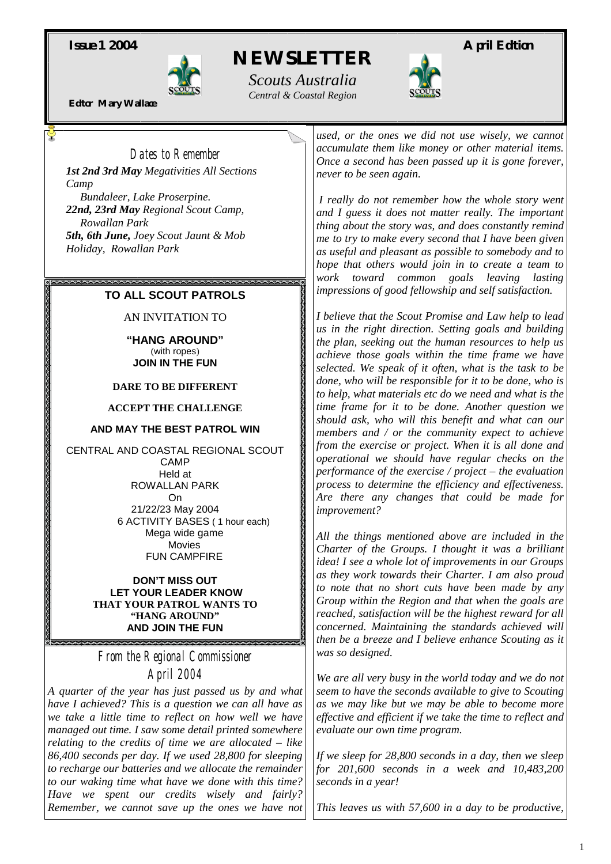*Issue 1 2004* **April Edition April Edition** 



 *NEWSLETTER* 

*Scouts Australia Central & Coastal Region Editor Mary Wallace*

### *Dates to Remember*

*1st 2nd 3rd May Megativities All Sections Camp Bundaleer, Lake Proserpine.* 

*22nd, 23rd May Regional Scout Camp, Rowallan Park 5th, 6th June, Joey Scout Jaunt & Mob Holiday, Rowallan Park* 

### **TO ALL SCOUT PATROLS**

AN INVITATION TO

**"HANG AROUND"**  (with ropes) **JOIN IN THE FUN** 

#### **DARE TO BE DIFFERENT**

**ACCEPT THE CHALLENGE** 

#### **AND MAY THE BEST PATROL WIN**

CENTRAL AND COASTAL REGIONAL SCOUT CAMP Held at ROWALLAN PARK On 21/22/23 May 2004 6 ACTIVITY BASES ( 1 hour each) Mega wide game Movies FUN CAMPFIRE

#### **DON'T MISS OUT LET YOUR LEADER KNOW THAT YOUR PATROL WANTS TO "HANG AROUND" AND JOIN THE FUN**

*From the Regional Commissioner April 2004* 

2000000000

*A quarter of the year has just passed us by and what have I achieved? This is a question we can all have as we take a little time to reflect on how well we have managed out time. I saw some detail printed somewhere relating to the credits of time we are allocated – like 86,400 seconds per day. If we used 28,800 for sleeping to recharge our batteries and we allocate the remainder to our waking time what have we done with this time? Have we spent our credits wisely and fairly? Remember, we cannot save up the ones we have not*  *used, or the ones we did not use wisely, we cannot accumulate them like money or other material items. Once a second has been passed up it is gone forever, never to be seen again.* 

*I really do not remember how the whole story went and I guess it does not matter really. The important thing about the story was, and does constantly remind me to try to make every second that I have been given as useful and pleasant as possible to somebody and to hope that others would join in to create a team to work toward common goals leaving lasting impressions of good fellowship and self satisfaction.* 

*I believe that the Scout Promise and Law help to lead us in the right direction. Setting goals and building the plan, seeking out the human resources to help us achieve those goals within the time frame we have selected. We speak of it often, what is the task to be done, who will be responsible for it to be done, who is to help, what materials etc do we need and what is the time frame for it to be done. Another question we should ask, who will this benefit and what can our members and / or the community expect to achieve from the exercise or project. When it is all done and operational we should have regular checks on the performance of the exercise / project – the evaluation process to determine the efficiency and effectiveness. Are there any changes that could be made for improvement?* 

*All the things mentioned above are included in the Charter of the Groups. I thought it was a brilliant idea! I see a whole lot of improvements in our Groups as they work towards their Charter. I am also proud to note that no short cuts have been made by any Group within the Region and that when the goals are reached, satisfaction will be the highest reward for all concerned. Maintaining the standards achieved will then be a breeze and I believe enhance Scouting as it was so designed.* 

*We are all very busy in the world today and we do not seem to have the seconds available to give to Scouting as we may like but we may be able to become more effective and efficient if we take the time to reflect and evaluate our own time program.* 

*If we sleep for 28,800 seconds in a day, then we sleep for 201,600 seconds in a week and 10,483,200 seconds in a year!* 

*This leaves us with 57,600 in a day to be productive,*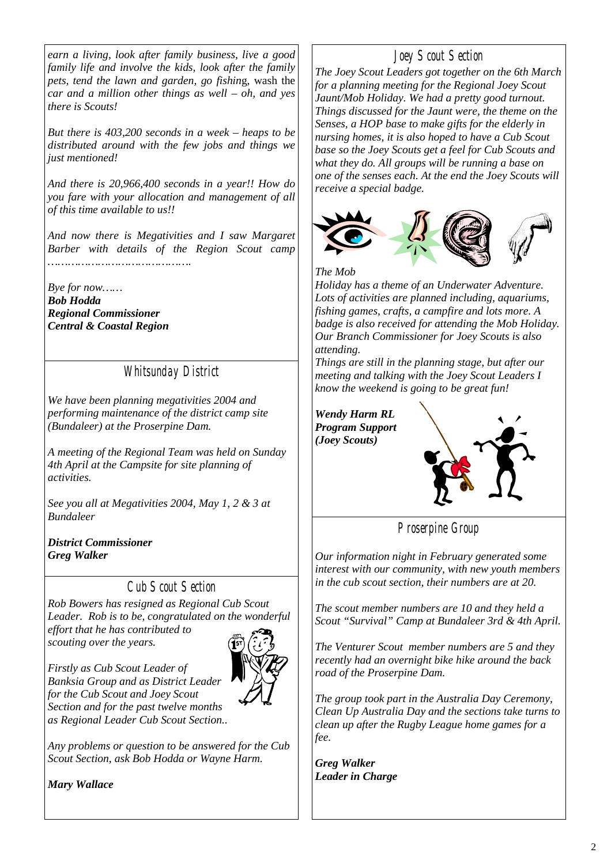*earn a living, look after family business, live a good family life and involve the kids, look after the family pets, tend the lawn and garden, go fishin*g, wash the *car and a million other things as well – oh, and yes there is Scouts!* 

*But there is 403,200 seconds in a week – heaps to be distributed around with the few jobs and things we just mentioned!* 

*And there is 20,966,400 seconds in a year!! How do you fare with your allocation and management of all of this time available to us!!* 

*And now there is Megativities and I saw Margaret Barber with details of the Region Scout camp …………………………………….* 

*Bye for now…… Bob Hodda Regional Commissioner Central & Coastal Region* 

*Whitsunday District* 

*We have been planning megativities 2004 and performing maintenance of the district camp site (Bundaleer) at the Proserpine Dam.* 

*A meeting of the Regional Team was held on Sunday 4th April at the Campsite for site planning of activities.* 

*See you all at Megativities 2004, May 1, 2 & 3 at Bundaleer* 

*District Commissioner Greg Walker* 

## *Cub Scout Section*

*Rob Bowers has resigned as Regional Cub Scout Leader. Rob is to be, congratulated on the wonderful effort that he has contributed to scouting over the years.* 

*Firstly as Cub Scout Leader of Banksia Group and as District Leader for the Cub Scout and Joey Scout Section and for the past twelve months as Regional Leader Cub Scout Section..* 



*Any problems or question to be answered for the Cub Scout Section, ask Bob Hodda or Wayne Harm.* 

*Mary Wallace* 

# *Joey Scout Section*

*The Joey Scout Leaders got together on the 6th March for a planning meeting for the Regional Joey Scout Jaunt/Mob Holiday. We had a pretty good turnout. Things discussed for the Jaunt were, the theme on the Senses, a HOP base to make gifts for the elderly in nursing homes, it is also hoped to have a Cub Scout base so the Joey Scouts get a feel for Cub Scouts and what they do. All groups will be running a base on one of the senses each. At the end the Joey Scouts will receive a special badge.* 



*The Mob Holiday has a theme of an Underwater Adventure. Lots of activities are planned including, aquariums, fishing games, crafts, a campfire and lots more. A badge is also received for attending the Mob Holiday. Our Branch Commissioner for Joey Scouts is also* 

*attending.* 

*Things are still in the planning stage, but after our meeting and talking with the Joey Scout Leaders I know the weekend is going to be great fun!* 

*Wendy Harm RL Program Support (Joey Scouts)* 



*Proserpine Group* 

*Our information night in February generated some interest with our community, with new youth members in the cub scout section, their numbers are at 20.* 

*The scout member numbers are 10 and they held a Scout "Survival" Camp at Bundaleer 3rd & 4th April.* 

*The Venturer Scout member numbers are 5 and they recently had an overnight bike hike around the back road of the Proserpine Dam.* 

*The group took part in the Australia Day Ceremony, Clean Up Australia Day and the sections take turns to clean up after the Rugby League home games for a fee.* 

*Greg Walker Leader in Charge*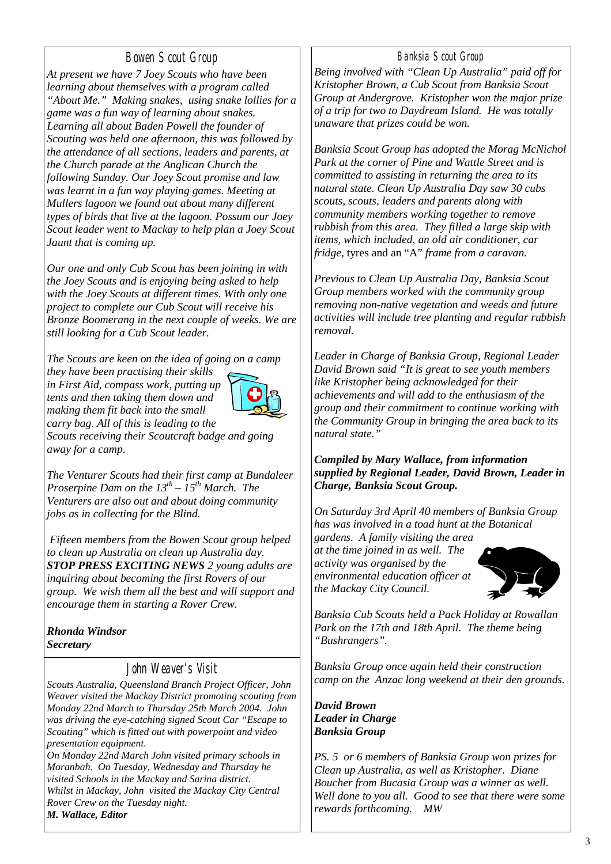## *Bowen Scout Group*

*At present we have 7 Joey Scouts who have been learning about themselves with a program called "About Me." Making snakes, using snake lollies for a game was a fun way of learning about snakes. Learning all about Baden Powell the founder of Scouting was held one afternoon, this was followed by the attendance of all sections, leaders and parents, at the Church parade at the Anglican Church the following Sunday. Our Joey Scout promise and law was learnt in a fun way playing games. Meeting at Mullers lagoon we found out about many different types of birds that live at the lagoon. Possum our Joey Scout leader went to Mackay to help plan a Joey Scout Jaunt that is coming up.* 

*Our one and only Cub Scout has been joining in with the Joey Scouts and is enjoying being asked to help with the Joey Scouts at different times. With only one project to complete our Cub Scout will receive his Bronze Boomerang in the next couple of weeks. We are still looking for a Cub Scout leader.* 

*The Scouts are keen on the idea of going on a camp* 

*they have been practising their skills in First Aid, compass work, putting up tents and then taking them down and making them fit back into the small carry bag. All of this is leading to the* 



*Scouts receiving their Scoutcraft badge and going away for a camp.* 

*The Venturer Scouts had their first camp at Bundaleer Proserpine Dam on the 13th – 15th March. The Venturers are also out and about doing community jobs as in collecting for the Blind.* 

 *Fifteen members from the Bowen Scout group helped to clean up Australia on clean up Australia day. STOP PRESS EXCITING NEWS 2 young adults are inquiring about becoming the first Rovers of our group. We wish them all the best and will support and encourage them in starting a Rover Crew.* 

#### *Rhonda Windsor Secretary*

## *John Weaver's Visit*

*Scouts Australia, Queensland Branch Project Officer, John Weaver visited the Mackay District promoting scouting from Monday 22nd March to Thursday 25th March 2004. John was driving the eye-catching signed Scout Car "Escape to Scouting" which is fitted out with powerpoint and video presentation equipment.* 

*On Monday 22nd March John visited primary schools in Moranbah. On Tuesday, Wednesday and Thursday he visited Schools in the Mackay and Sarina district. Whilst in Mackay, John visited the Mackay City Central Rover Crew on the Tuesday night. M. Wallace, Editor*

### *Banksia Scout Group*

*Being involved with "Clean Up Australia" paid off for Kristopher Brown, a Cub Scout from Banksia Scout Group at Andergrove. Kristopher won the major prize of a trip for two to Daydream Island. He was totally unaware that prizes could be won.* 

*Banksia Scout Group has adopted the Morag McNichol Park at the corner of Pine and Wattle Street and is committed to assisting in returning the area to its natural state. Clean Up Australia Day saw 30 cubs scouts, scouts, leaders and parents along with community members working together to remove rubbish from this area. They filled a large skip with items, which included, an old air conditioner, car fridge,* tyres and an "A" *frame from a caravan.* 

*Previous to Clean Up Australia Day, Banksia Scout Group members worked with the community group removing non-native vegetation and weeds and future activities will include tree planting and regular rubbish removal.* 

*Leader in Charge of Banksia Group, Regional Leader David Brown said "It is great to see youth members like Kristopher being acknowledged for their achievements and will add to the enthusiasm of the group and their commitment to continue working with the Community Group in bringing the area back to its natural state."* 

#### *Compiled by Mary Wallace, from information supplied by Regional Leader, David Brown, Leader in Charge, Banksia Scout Group.*

*On Saturday 3rd April 40 members of Banksia Group has was involved in a toad hunt at the Botanical* 

*gardens. A family visiting the area at the time joined in as well. The activity was organised by the environmental education officer at the Mackay City Council.* 



*Banksia Cub Scouts held a Pack Holiday at Rowallan Park on the 17th and 18th April. The theme being "Bushrangers".* 

*Banksia Group once again held their construction camp on the Anzac long weekend at their den grounds.* 

*David Brown Leader in Charge Banksia Group* 

*PS. 5 or 6 members of Banksia Group won prizes for Clean up Australia, as well as Kristopher. Diane Boucher from Bucasia Group was a winner as well. Well done to you all. Good to see that there were some rewards forthcoming. MW*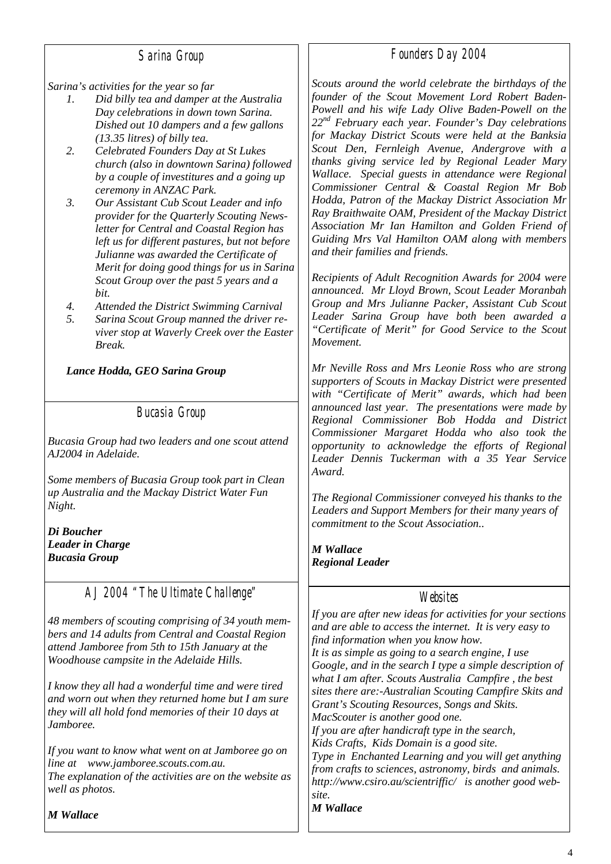### *Sarina Group*

*Sarina's activities for the year so far* 

- *1. Did billy tea and damper at the Australia Day celebrations in down town Sarina. Dished out 10 dampers and a few gallons (13.35 litres) of billy tea.*
- *2. Celebrated Founders Day at St Lukes church (also in downtown Sarina) followed by a couple of investitures and a going up ceremony in ANZAC Park.*
- *3. Our Assistant Cub Scout Leader and info provider for the Quarterly Scouting Newsletter for Central and Coastal Region has left us for different pastures, but not before Julianne was awarded the Certificate of Merit for doing good things for us in Sarina Scout Group over the past 5 years and a bit.*
- *4. Attended the District Swimming Carnival*
- *5. Sarina Scout Group manned the driver reviver stop at Waverly Creek over the Easter Break.*

*Lance Hodda, GEO Sarina Group* 

*Bucasia Group* 

*Bucasia Group had two leaders and one scout attend AJ2004 in Adelaide.* 

*Some members of Bucasia Group took part in Clean up Australia and the Mackay District Water Fun Night.* 

*Di Boucher Leader in Charge Bucasia Group* 

# *AJ 2004 "The Ultimate Challenge"*

*48 members of scouting comprising of 34 youth members and 14 adults from Central and Coastal Region attend Jamboree from 5th to 15th January at the Woodhouse campsite in the Adelaide Hills.* 

*I know they all had a wonderful time and were tired and worn out when they returned home but I am sure they will all hold fond memories of their 10 days at Jamboree.* 

*If you want to know what went on at Jamboree go on line at www.jamboree.scouts.com.au. The explanation of the activities are on the website as well as photos.* 

*M Wallace* 

*Scouts around the world celebrate the birthdays of the founder of the Scout Movement Lord Robert Baden-Powell and his wife Lady Olive Baden-Powell on the 22nd February each year. Founder's Day celebrations for Mackay District Scouts were held at the Banksia Scout Den, Fernleigh Avenue, Andergrove with a thanks giving service led by Regional Leader Mary Wallace. Special guests in attendance were Regional Commissioner Central & Coastal Region Mr Bob Hodda, Patron of the Mackay District Association Mr Ray Braithwaite OAM, President of the Mackay District Association Mr Ian Hamilton and Golden Friend of Guiding Mrs Val Hamilton OAM along with members and their families and friends.* 

*Recipients of Adult Recognition Awards for 2004 were announced. Mr Lloyd Brown, Scout Leader Moranbah Group and Mrs Julianne Packer, Assistant Cub Scout Leader Sarina Group have both been awarded a "Certificate of Merit" for Good Service to the Scout Movement.* 

*Mr Neville Ross and Mrs Leonie Ross who are strong supporters of Scouts in Mackay District were presented with "Certificate of Merit" awards, which had been announced last year. The presentations were made by Regional Commissioner Bob Hodda and District Commissioner Margaret Hodda who also took the opportunity to acknowledge the efforts of Regional Leader Dennis Tuckerman with a 35 Year Service Award.* 

*The Regional Commissioner conveyed his thanks to the Leaders and Support Members for their many years of commitment to the Scout Association..* 

*M Wallace Regional Leader* 

### *Websites*

*If you are after new ideas for activities for your sections and are able to access the internet. It is very easy to find information when you know how. It is as simple as going to a search engine, I use Google, and in the search I type a simple description of what I am after. Scouts Australia Campfire , the best sites there are:-Australian Scouting Campfire Skits and Grant's Scouting Resources, Songs and Skits. MacScouter is another good one. If you are after handicraft type in the search, Kids Crafts, Kids Domain is a good site. Type in Enchanted Learning and you will get anything from crafts to sciences, astronomy, birds and animals. http://www.csiro.au/scientriffic/ is another good website. M Wallace* 

# *Founders Day 2004*